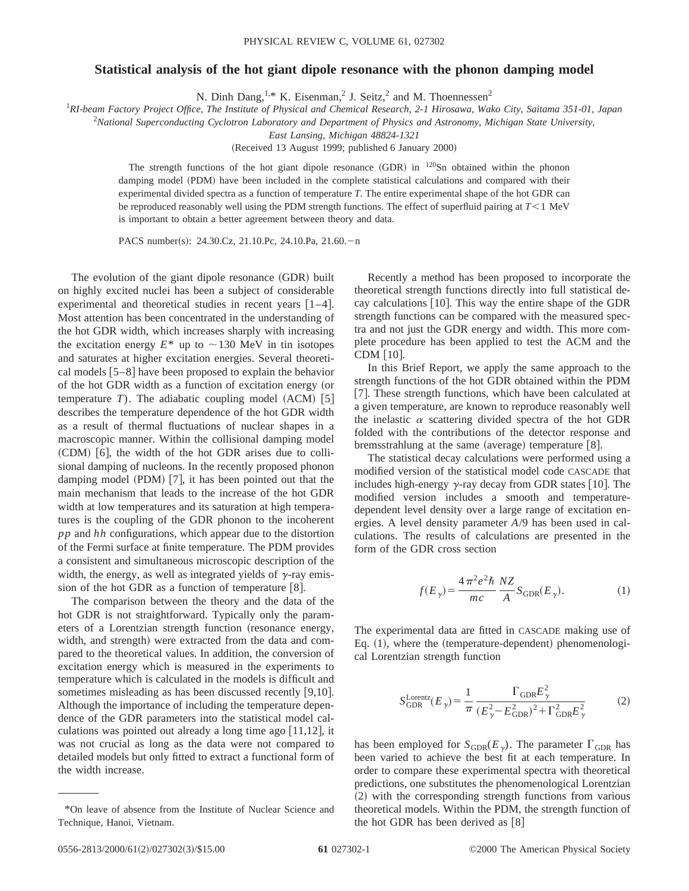## **Statistical analysis of the hot giant dipole resonance with the phonon damping model**

N. Dinh Dang,<sup>1,\*</sup> K. Eisenman,<sup>2</sup> J. Seitz,<sup>2</sup> and M. Thoennessen<sup>2</sup>

1 *RI-beam Factory Project Office, The Institute of Physical and Chemical Research, 2-1 Hirosawa, Wako City, Saitama 351-01, Japan*

2 *National Superconducting Cyclotron Laboratory and Department of Physics and Astronomy, Michigan State University,*

*East Lansing, Michigan 48824-1321*

(Received 13 August 1999; published 6 January 2000)

The strength functions of the hot giant dipole resonance  $(GDR)$  in  $120Sn$  obtained within the phonon damping model (PDM) have been included in the complete statistical calculations and compared with their experimental divided spectra as a function of temperature *T*. The entire experimental shape of the hot GDR can be reproduced reasonably well using the PDM strength functions. The effect of superfluid pairing at  $T \leq 1$  MeV is important to obtain a better agreement between theory and data.

PACS number(s): 24.30.Cz, 21.10.Pc, 24.10.Pa, 21.60.-n

The evolution of the giant dipole resonance (GDR) built on highly excited nuclei has been a subject of considerable experimental and theoretical studies in recent years  $[1-4]$ . Most attention has been concentrated in the understanding of the hot GDR width, which increases sharply with increasing the excitation energy  $E^*$  up to  $\sim$ 130 MeV in tin isotopes and saturates at higher excitation energies. Several theoretical models  $[5-8]$  have been proposed to explain the behavior of the hot GDR width as a function of excitation energy (or temperature *T*). The adiabatic coupling model  $(ACM)$  [5] describes the temperature dependence of the hot GDR width as a result of thermal fluctuations of nuclear shapes in a macroscopic manner. Within the collisional damping model  $(CDM)$  [6], the width of the hot GDR arises due to collisional damping of nucleons. In the recently proposed phonon damping model  $(PDM)$  [7], it has been pointed out that the main mechanism that leads to the increase of the hot GDR width at low temperatures and its saturation at high temperatures is the coupling of the GDR phonon to the incoherent *pp* and *hh* configurations, which appear due to the distortion of the Fermi surface at finite temperature. The PDM provides a consistent and simultaneous microscopic description of the width, the energy, as well as integrated yields of  $\gamma$ -ray emission of the hot GDR as a function of temperature  $[8]$ .

The comparison between the theory and the data of the hot GDR is not straightforward. Typically only the parameters of a Lorentzian strength function (resonance energy, width, and strength) were extracted from the data and compared to the theoretical values. In addition, the conversion of excitation energy which is measured in the experiments to temperature which is calculated in the models is difficult and sometimes misleading as has been discussed recently  $[9,10]$ . Although the importance of including the temperature dependence of the GDR parameters into the statistical model calculations was pointed out already a long time ago  $[11,12]$ , it was not crucial as long as the data were not compared to detailed models but only fitted to extract a functional form of the width increase.

Recently a method has been proposed to incorporate the theoretical strength functions directly into full statistical decay calculations [10]. This way the entire shape of the GDR strength functions can be compared with the measured spectra and not just the GDR energy and width. This more complete procedure has been applied to test the ACM and the  $CDM$  | 10 |.

In this Brief Report, we apply the same approach to the strength functions of the hot GDR obtained within the PDM [7]. These strength functions, which have been calculated at a given temperature, are known to reproduce reasonably well the inelastic  $\alpha$  scattering divided spectra of the hot GDR folded with the contributions of the detector response and bremsstrahlung at the same (average) temperature  $[8]$ .

The statistical decay calculations were performed using a modified version of the statistical model code CASCADE that includes high-energy  $\gamma$ -ray decay from GDR states [10]. The modified version includes a smooth and temperaturedependent level density over a large range of excitation energies. A level density parameter *A*/9 has been used in calculations. The results of calculations are presented in the form of the GDR cross section

$$
f(E_{\gamma}) = \frac{4\pi^2 e^2 \hbar}{mc} \frac{NZ}{A} S_{\text{GDR}}(E_{\gamma}).
$$
 (1)

The experimental data are fitted in CASCADE making use of Eq.  $(1)$ , where the  $(temperature-dependent)$  phenomenological Lorentzian strength function

$$
S_{\text{GDR}}^{\text{Lorentz}}(E_{\gamma}) = \frac{1}{\pi} \frac{\Gamma_{\text{GDR}} E_{\gamma}^2}{(E_{\gamma}^2 - E_{\text{GDR}}^2)^2 + \Gamma_{\text{GDR}}^2 E_{\gamma}^2}
$$
(2)

has been employed for  $S_{GDR}(E_{\gamma})$ . The parameter  $\Gamma_{GDR}$  has been varied to achieve the best fit at each temperature. In order to compare these experimental spectra with theoretical predictions, one substitutes the phenomenological Lorentzian ~2! with the corresponding strength functions from various theoretical models. Within the PDM, the strength function of the hot GDR has been derived as  $[8]$ 

<sup>\*</sup>On leave of absence from the Institute of Nuclear Science and Technique, Hanoi, Vietnam.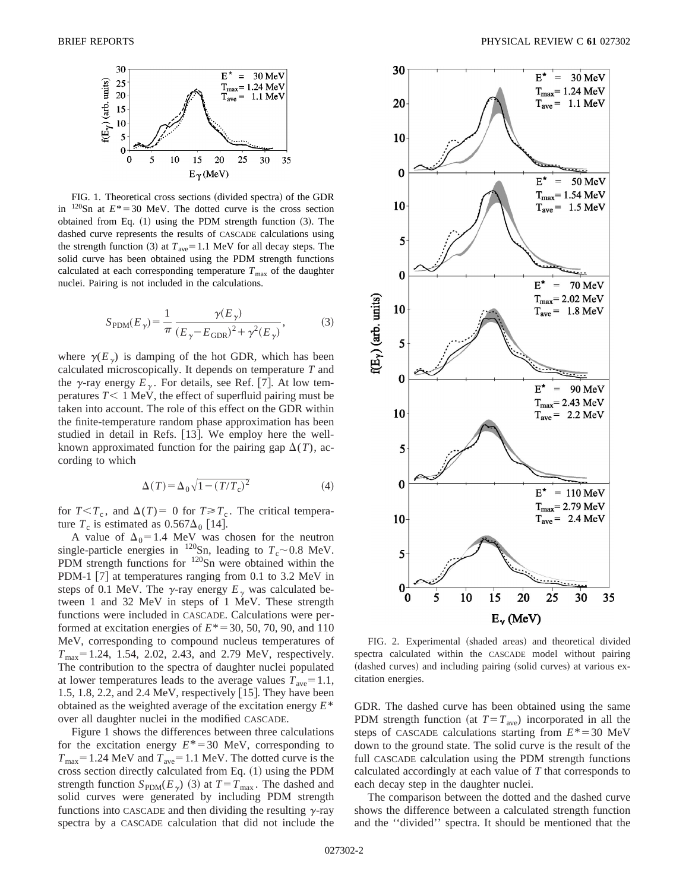

FIG. 1. Theoretical cross sections (divided spectra) of the GDR in  $120$ Sn at  $E^* = 30$  MeV. The dotted curve is the cross section obtained from Eq.  $(1)$  using the PDM strength function  $(3)$ . The dashed curve represents the results of CASCADE calculations using the strength function (3) at  $T_{\text{ave}}=1.1$  MeV for all decay steps. The solid curve has been obtained using the PDM strength functions calculated at each corresponding temperature  $T_{\text{max}}$  of the daughter nuclei. Pairing is not included in the calculations.

$$
S_{\rm PDM}(E_{\gamma}) = \frac{1}{\pi} \frac{\gamma(E_{\gamma})}{(E_{\gamma} - E_{\rm GDR})^2 + \gamma^2(E_{\gamma})},
$$
(3)

where  $\gamma(E_v)$  is damping of the hot GDR, which has been calculated microscopically. It depends on temperature *T* and the  $\gamma$ -ray energy  $E_{\gamma}$ . For details, see Ref. [7]. At low temperatures  $T < 1$  MeV, the effect of superfluid pairing must be taken into account. The role of this effect on the GDR within the finite-temperature random phase approximation has been studied in detail in Refs. [13]. We employ here the wellknown approximated function for the pairing gap  $\Delta(T)$ , according to which

$$
\Delta(T) = \Delta_0 \sqrt{1 - (T/T_c)^2} \tag{4}
$$

for  $T < T_c$ , and  $\Delta(T) = 0$  for  $T \ge T_c$ . The critical temperature  $T_c$  is estimated as  $0.567\Delta_0$  [14].

A value of  $\Delta_0=1.4$  MeV was chosen for the neutron single-particle energies in <sup>120</sup>Sn, leading to  $T_c \sim 0.8$  MeV. PDM strength functions for  $120$ Sn were obtained within the PDM-1  $[7]$  at temperatures ranging from 0.1 to 3.2 MeV in steps of 0.1 MeV. The  $\gamma$ -ray energy  $E_{\gamma}$  was calculated between 1 and 32 MeV in steps of 1 MeV. These strength functions were included in CASCADE. Calculations were performed at excitation energies of  $E^* = 30, 50, 70, 90,$  and 110 MeV, corresponding to compound nucleus temperatures of  $T_{\text{max}}$ = 1.24, 1.54, 2.02, 2.43, and 2.79 MeV, respectively. The contribution to the spectra of daughter nuclei populated at lower temperatures leads to the average values  $T_{\text{ave}}=1.1$ , 1.5, 1.8, 2.2, and 2.4 MeV, respectively  $[15]$ . They have been obtained as the weighted average of the excitation energy *E*\* over all daughter nuclei in the modified CASCADE.

Figure 1 shows the differences between three calculations for the excitation energy  $E^* = 30$  MeV, corresponding to  $T_{\text{max}}$ = 1.24 MeV and  $T_{\text{ave}}$ = 1.1 MeV. The dotted curve is the cross section directly calculated from Eq.  $(1)$  using the PDM strength function  $S_{PDM}(E_{\gamma})$  (3) at  $T=T_{\text{max}}$ . The dashed and solid curves were generated by including PDM strength functions into CASCADE and then dividing the resulting  $\gamma$ -ray spectra by a CASCADE calculation that did not include the



FIG. 2. Experimental (shaded areas) and theoretical divided spectra calculated within the CASCADE model without pairing (dashed curves) and including pairing (solid curves) at various excitation energies.

GDR. The dashed curve has been obtained using the same PDM strength function (at  $T = T_{ave}$ ) incorporated in all the steps of CASCADE calculations starting from  $E^* = 30$  MeV down to the ground state. The solid curve is the result of the full CASCADE calculation using the PDM strength functions calculated accordingly at each value of *T* that corresponds to each decay step in the daughter nuclei.

The comparison between the dotted and the dashed curve shows the difference between a calculated strength function and the ''divided'' spectra. It should be mentioned that the